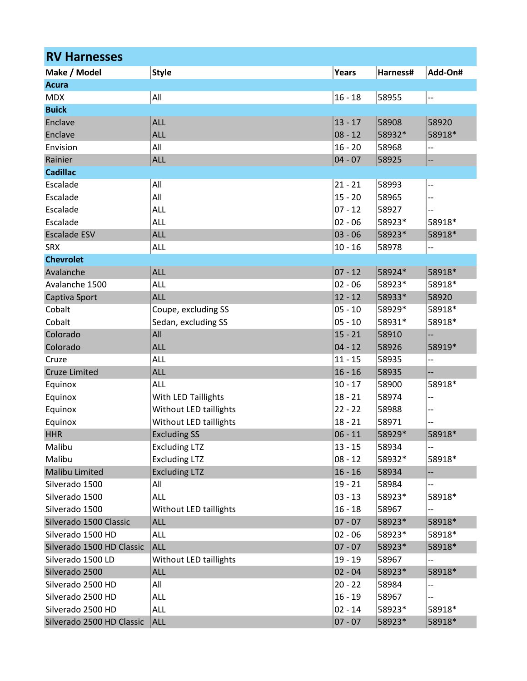| <b>RV Harnesses</b>       |                                      |                        |          |                          |  |
|---------------------------|--------------------------------------|------------------------|----------|--------------------------|--|
| Make / Model              | <b>Style</b>                         | Years                  | Harness# | Add-On#                  |  |
| <b>Acura</b>              |                                      |                        |          |                          |  |
| <b>MDX</b>                | All                                  | $16 - 18$              | 58955    | $\ddotsc$                |  |
| <b>Buick</b>              |                                      |                        |          |                          |  |
| Enclave                   | <b>ALL</b>                           | $13 - 17$              | 58908    | 58920                    |  |
| Enclave                   | <b>ALL</b>                           | $08 - 12$              | 58932*   | 58918*                   |  |
| Envision                  | All                                  | $16 - 20$              | 58968    | --                       |  |
| Rainier                   | <b>ALL</b>                           | $04 - 07$              | 58925    | --                       |  |
| <b>Cadillac</b>           |                                      |                        |          |                          |  |
| Escalade                  | All                                  | $21 - 21$              | 58993    | $\overline{\phantom{a}}$ |  |
| Escalade                  | All                                  | $15 - 20$              | 58965    | --                       |  |
| Escalade                  | ALL                                  | $07 - 12$              | 58927    |                          |  |
| Escalade                  | ALL                                  | $02 - 06$              | 58923*   | 58918*                   |  |
| <b>Escalade ESV</b>       | <b>ALL</b>                           | $03 - 06$              | 58923*   | 58918*                   |  |
| <b>SRX</b>                | ALL                                  | $10 - 16$              | 58978    | --                       |  |
| <b>Chevrolet</b>          |                                      |                        |          |                          |  |
| Avalanche                 | <b>ALL</b>                           | $07 - 12$              | 58924*   | 58918*                   |  |
| Avalanche 1500            | <b>ALL</b>                           | $02 - 06$              | 58923*   | 58918*                   |  |
| Captiva Sport             | <b>ALL</b>                           | $12 - 12$              | 58933*   | 58920                    |  |
| Cobalt                    | Coupe, excluding SS                  | $05 - 10$              | 58929*   | 58918*                   |  |
| Cobalt                    | Sedan, excluding SS                  | $05 - 10$              | 58931*   | 58918*                   |  |
| Colorado                  | All                                  | $15 - 21$              | 58910    |                          |  |
| Colorado                  | <b>ALL</b>                           | $04 - 12$              | 58926    | 58919*                   |  |
| Cruze                     | ALL                                  | $11 - 15$              | 58935    | $\overline{\phantom{a}}$ |  |
| <b>Cruze Limited</b>      | <b>ALL</b>                           | $16 - 16$              | 58935    | --                       |  |
| Equinox                   | ALL                                  | $10 - 17$              | 58900    | 58918*                   |  |
| Equinox                   | With LED Taillights                  | $18 - 21$              | 58974    | --                       |  |
| Equinox                   | Without LED taillights               | $22 - 22$              | 58988    |                          |  |
| Equinox                   | Without LED taillights               | $18 - 21$              | 58971    | --<br>--                 |  |
| <b>HHR</b>                | <b>Excluding SS</b>                  | $06 - 11$              | 58929*   | 58918*                   |  |
| Malibu                    | <b>Excluding LTZ</b>                 | $13 - 15$              | 58934    |                          |  |
| Malibu                    | <b>Excluding LTZ</b>                 | $08 - 12$              | 58932*   | 58918*                   |  |
| <b>Malibu Limited</b>     | <b>Excluding LTZ</b>                 | $16 - 16$              | 58934    |                          |  |
| Silverado 1500            | All                                  | $19 - 21$              | 58984    |                          |  |
| Silverado 1500            | ALL                                  | $03 - 13$              | 58923*   | --<br>58918*             |  |
|                           |                                      |                        |          |                          |  |
| Silverado 1500            | Without LED taillights<br><b>ALL</b> | $16 - 18$<br>$07 - 07$ | 58967    | --<br>58918*             |  |
| Silverado 1500 Classic    |                                      |                        | 58923*   |                          |  |
| Silverado 1500 HD         | <b>ALL</b>                           | $02 - 06$              | 58923*   | 58918*                   |  |
| Silverado 1500 HD Classic | <b>ALL</b>                           | $07 - 07$              | 58923*   | 58918*                   |  |
| Silverado 1500 LD         | Without LED taillights               | $19 - 19$              | 58967    | --                       |  |
| Silverado 2500            | <b>ALL</b>                           | $02 - 04$              | 58923*   | 58918*                   |  |
| Silverado 2500 HD         | All                                  | $20 - 22$              | 58984    | $-$                      |  |
| Silverado 2500 HD         | ALL                                  | $16 - 19$              | 58967    |                          |  |
| Silverado 2500 HD         | <b>ALL</b>                           | $02 - 14$              | 58923*   | 58918*                   |  |
| Silverado 2500 HD Classic | <b>ALL</b>                           | $07 - 07$              | 58923*   | 58918*                   |  |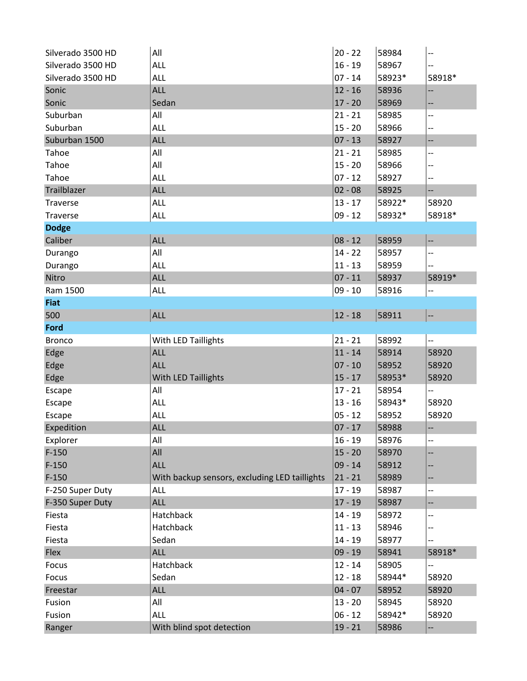| Silverado 3500 HD | All                                           | $20 - 22$ | 58984  | --                       |
|-------------------|-----------------------------------------------|-----------|--------|--------------------------|
| Silverado 3500 HD | ALL                                           | $16 - 19$ | 58967  |                          |
| Silverado 3500 HD | ALL                                           | $07 - 14$ | 58923* | 58918*                   |
| Sonic             | <b>ALL</b>                                    | $12 - 16$ | 58936  | --                       |
| Sonic             | Sedan                                         | $17 - 20$ | 58969  | --                       |
| Suburban          | All                                           | $21 - 21$ | 58985  | --                       |
| Suburban          | ALL                                           | $15 - 20$ | 58966  | --                       |
| Suburban 1500     | <b>ALL</b>                                    | $07 - 13$ | 58927  | $\overline{\phantom{a}}$ |
| Tahoe             | All                                           | $21 - 21$ | 58985  | --                       |
| Tahoe             | All                                           | $15 - 20$ | 58966  | --                       |
| Tahoe             | ALL                                           | $07 - 12$ | 58927  | --                       |
| Trailblazer       | <b>ALL</b>                                    | $02 - 08$ | 58925  |                          |
| Traverse          | <b>ALL</b>                                    | $13 - 17$ | 58922* | 58920                    |
| Traverse          | <b>ALL</b>                                    | $09 - 12$ | 58932* | 58918*                   |
| <b>Dodge</b>      |                                               |           |        |                          |
| Caliber           | <b>ALL</b>                                    | $08 - 12$ | 58959  | --                       |
| Durango           | All                                           | $14 - 22$ | 58957  | --                       |
| Durango           | ALL                                           | $11 - 13$ | 58959  | --                       |
| Nitro             | <b>ALL</b>                                    | $07 - 11$ | 58937  | 58919*                   |
| Ram 1500          | <b>ALL</b>                                    | $09 - 10$ | 58916  | --                       |
| <b>Fiat</b>       |                                               |           |        |                          |
| 500               | <b>ALL</b>                                    | $12 - 18$ | 58911  |                          |
| Ford              |                                               |           |        |                          |
| <b>Bronco</b>     | With LED Taillights                           | $21 - 21$ | 58992  | --                       |
| Edge              | <b>ALL</b>                                    | $11 - 14$ | 58914  | 58920                    |
| Edge              | <b>ALL</b>                                    | $07 - 10$ | 58952  | 58920                    |
| Edge              | With LED Taillights                           | $15 - 17$ | 58953* | 58920                    |
| Escape            | All                                           | $17 - 21$ | 58954  |                          |
| Escape            | <b>ALL</b>                                    | $13 - 16$ | 58943* | 58920                    |
| Escape            | <b>ALL</b>                                    | $05 - 12$ | 58952  | 58920                    |
| Expedition        | <b>ALL</b>                                    | $07 - 17$ | 58988  | --                       |
| Explorer          | All                                           | $16 - 19$ | 58976  | --                       |
| $F-150$           | All                                           | $15 - 20$ | 58970  |                          |
| $F-150$           | <b>ALL</b>                                    | $09 - 14$ | 58912  |                          |
| $F-150$           | With backup sensors, excluding LED taillights | $21 - 21$ | 58989  | --                       |
| F-250 Super Duty  | <b>ALL</b>                                    | $17 - 19$ | 58987  | --                       |
| F-350 Super Duty  | <b>ALL</b>                                    | $17 - 19$ | 58987  | --                       |
| Fiesta            | Hatchback                                     | $14 - 19$ | 58972  |                          |
| Fiesta            | Hatchback                                     | $11 - 13$ | 58946  | --                       |
| Fiesta            | Sedan                                         | $14 - 19$ | 58977  |                          |
| Flex              | <b>ALL</b>                                    | $09 - 19$ | 58941  | 58918*                   |
| Focus             | Hatchback                                     | $12 - 14$ | 58905  | --                       |
| Focus             | Sedan                                         | $12 - 18$ | 58944* | 58920                    |
| Freestar          | <b>ALL</b>                                    | $04 - 07$ | 58952  | 58920                    |
| Fusion            | All                                           | $13 - 20$ | 58945  | 58920                    |
| Fusion            | ALL                                           | $06 - 12$ | 58942* | 58920                    |
| Ranger            | With blind spot detection                     | $19 - 21$ | 58986  | $\overline{\phantom{a}}$ |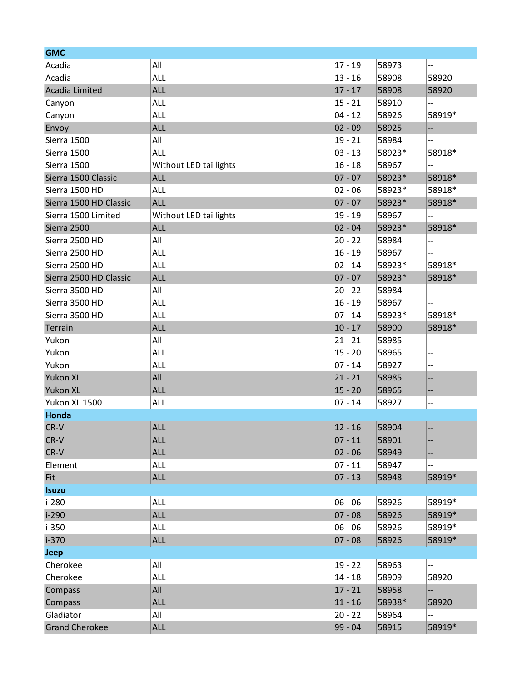| <b>GMC</b>             |                        |           |        |                          |  |
|------------------------|------------------------|-----------|--------|--------------------------|--|
| Acadia                 | All                    | $17 - 19$ | 58973  | --                       |  |
| Acadia                 | <b>ALL</b>             | $13 - 16$ | 58908  | 58920                    |  |
| Acadia Limited         | <b>ALL</b>             | $17 - 17$ | 58908  | 58920                    |  |
| Canyon                 | ALL                    | $15 - 21$ | 58910  | --                       |  |
| Canyon                 | ALL                    | $04 - 12$ | 58926  | 58919*                   |  |
| Envoy                  | <b>ALL</b>             | $02 - 09$ | 58925  | --                       |  |
| Sierra 1500            | All                    | $19 - 21$ | 58984  | --                       |  |
| Sierra 1500            | <b>ALL</b>             | $03 - 13$ | 58923* | 58918*                   |  |
| Sierra 1500            | Without LED taillights | $16 - 18$ | 58967  | --                       |  |
| Sierra 1500 Classic    | <b>ALL</b>             | $07 - 07$ | 58923* | 58918*                   |  |
| Sierra 1500 HD         | ALL                    | $02 - 06$ | 58923* | 58918*                   |  |
| Sierra 1500 HD Classic | <b>ALL</b>             | $07 - 07$ | 58923* | 58918*                   |  |
| Sierra 1500 Limited    | Without LED taillights | $19 - 19$ | 58967  | $\overline{\phantom{a}}$ |  |
| Sierra 2500            | <b>ALL</b>             | $02 - 04$ | 58923* | 58918*                   |  |
| Sierra 2500 HD         | All                    | $20 - 22$ | 58984  | --                       |  |
| Sierra 2500 HD         | <b>ALL</b>             | $16 - 19$ | 58967  |                          |  |
| Sierra 2500 HD         | <b>ALL</b>             | $02 - 14$ | 58923* | 58918*                   |  |
| Sierra 2500 HD Classic | <b>ALL</b>             | $07 - 07$ | 58923* | 58918*                   |  |
| Sierra 3500 HD         | All                    | $20 - 22$ | 58984  | --                       |  |
| Sierra 3500 HD         | <b>ALL</b>             | $16 - 19$ | 58967  | --                       |  |
| Sierra 3500 HD         | <b>ALL</b>             | $07 - 14$ | 58923* | 58918*                   |  |
| Terrain                | <b>ALL</b>             | $10 - 17$ | 58900  | 58918*                   |  |
| Yukon                  | All                    | $21 - 21$ | 58985  | --                       |  |
| Yukon                  | ALL                    | $15 - 20$ | 58965  | --                       |  |
| Yukon                  | <b>ALL</b>             | $07 - 14$ | 58927  | $- -$                    |  |
| <b>Yukon XL</b>        | All                    | $21 - 21$ | 58985  | --                       |  |
| <b>Yukon XL</b>        | <b>ALL</b>             | $15 - 20$ | 58965  | ÷                        |  |
| Yukon XL 1500          | <b>ALL</b>             | $07 - 14$ | 58927  | --                       |  |
| Honda                  |                        |           |        |                          |  |
| CR-V                   | <b>ALL</b>             | $12 - 16$ | 58904  |                          |  |
| CR-V                   | <b>ALL</b>             | $07 - 11$ | 58901  | --                       |  |
| CR-V                   | <b>ALL</b>             | $02 - 06$ | 58949  | --                       |  |
| Element                | ALL                    | $07 - 11$ | 58947  |                          |  |
| Fit                    | <b>ALL</b>             | $07 - 13$ | 58948  | 58919*                   |  |
| <b>Isuzu</b>           |                        |           |        |                          |  |
| $i-280$                | <b>ALL</b>             | $06 - 06$ | 58926  | 58919*                   |  |
| $i-290$                | <b>ALL</b>             | $07 - 08$ | 58926  | 58919*                   |  |
| $i-350$                | ALL                    | $06 - 06$ | 58926  | 58919*                   |  |
| $i-370$                | <b>ALL</b>             | $07 - 08$ | 58926  | 58919*                   |  |
| <b>Jeep</b>            |                        |           |        |                          |  |
| Cherokee               | All                    | $19 - 22$ | 58963  | $\overline{\phantom{a}}$ |  |
| Cherokee               | <b>ALL</b>             | $14 - 18$ | 58909  | 58920                    |  |
| Compass                | All                    | $17 - 21$ | 58958  | --                       |  |
| Compass                | <b>ALL</b>             | $11 - 16$ | 58938* | 58920                    |  |
| Gladiator              | All                    | $20 - 22$ | 58964  | --                       |  |
| <b>Grand Cherokee</b>  | <b>ALL</b>             | $99 - 04$ | 58915  | 58919*                   |  |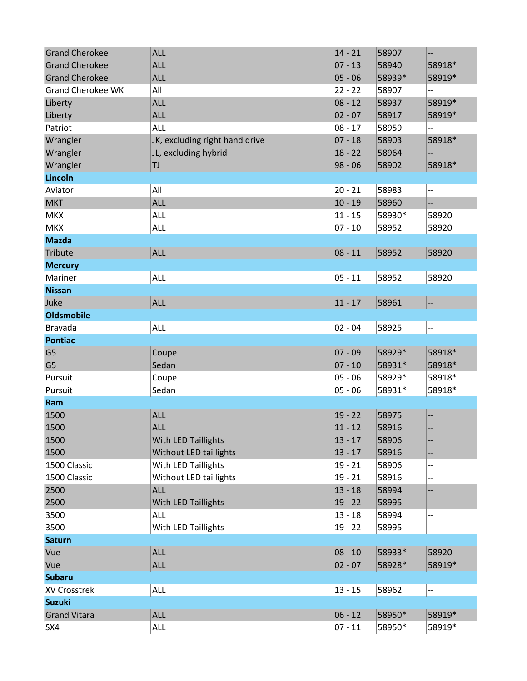| <b>Grand Cherokee</b>    | <b>ALL</b>                     | $14 - 21$ | 58907  | --                       |
|--------------------------|--------------------------------|-----------|--------|--------------------------|
| <b>Grand Cherokee</b>    | <b>ALL</b>                     | $07 - 13$ | 58940  | 58918*                   |
| <b>Grand Cherokee</b>    | <b>ALL</b>                     | $05 - 06$ | 58939* | 58919*                   |
| <b>Grand Cherokee WK</b> | All                            | $22 - 22$ | 58907  | --                       |
| Liberty                  | <b>ALL</b>                     | $08 - 12$ | 58937  | 58919*                   |
| Liberty                  | <b>ALL</b>                     | $02 - 07$ | 58917  | 58919*                   |
| Patriot                  | <b>ALL</b>                     | $08 - 17$ | 58959  | --                       |
| Wrangler                 | JK, excluding right hand drive | $07 - 18$ | 58903  | 58918*                   |
| Wrangler                 | JL, excluding hybrid           | $18 - 22$ | 58964  | --                       |
| Wrangler                 | TJ                             | $98 - 06$ | 58902  | 58918*                   |
| Lincoln                  |                                |           |        |                          |
| Aviator                  | All                            | $20 - 21$ | 58983  | $\overline{\phantom{a}}$ |
| <b>MKT</b>               | <b>ALL</b>                     | $10 - 19$ | 58960  | --                       |
| <b>MKX</b>               | ALL                            | $11 - 15$ | 58930* | 58920                    |
| <b>MKX</b>               | <b>ALL</b>                     | $07 - 10$ | 58952  | 58920                    |
| <b>Mazda</b>             |                                |           |        |                          |
| Tribute                  | <b>ALL</b>                     | $08 - 11$ | 58952  | 58920                    |
| <b>Mercury</b>           |                                |           |        |                          |
| Mariner                  | <b>ALL</b>                     | $05 - 11$ | 58952  | 58920                    |
| <b>Nissan</b>            |                                |           |        |                          |
| Juke                     | <b>ALL</b>                     | $11 - 17$ | 58961  |                          |
| <b>Oldsmobile</b>        |                                |           |        |                          |
| <b>Bravada</b>           | <b>ALL</b>                     | $02 - 04$ | 58925  | $\overline{\phantom{a}}$ |
| <b>Pontiac</b>           |                                |           |        |                          |
| G <sub>5</sub>           | Coupe                          | $07 - 09$ | 58929* | 58918*                   |
| G <sub>5</sub>           | Sedan                          | $07 - 10$ | 58931* | 58918*                   |
| Pursuit                  | Coupe                          | $05 - 06$ | 58929* | 58918*                   |
| Pursuit                  | Sedan                          | $05 - 06$ | 58931* | 58918*                   |
| Ram                      |                                |           |        |                          |
| 1500                     | <b>ALL</b>                     | $19 - 22$ | 58975  | --                       |
| 1500                     | <b>ALL</b>                     | $11 - 12$ | 58916  | --                       |
| 1500                     | With LED Taillights            | $13 - 17$ | 58906  | --                       |
| 1500                     | Without LED taillights         | $13 - 17$ | 58916  | --                       |
| 1500 Classic             | With LED Taillights            | $19 - 21$ | 58906  | --                       |
| 1500 Classic             | Without LED taillights         | $19 - 21$ | 58916  | --                       |
| 2500                     | ALL                            | $13 - 18$ | 58994  | --                       |
| 2500                     | With LED Taillights            | $19 - 22$ | 58995  | --                       |
| 3500                     | <b>ALL</b>                     | $13 - 18$ | 58994  | --                       |
| 3500                     | With LED Taillights            | $19 - 22$ | 58995  | --                       |
| <b>Saturn</b>            |                                |           |        |                          |
| Vue                      | <b>ALL</b>                     | $08 - 10$ | 58933* | 58920                    |
| Vue                      | <b>ALL</b>                     | $02 - 07$ | 58928* | 58919*                   |
| <b>Subaru</b>            |                                |           |        |                          |
| XV Crosstrek             | ALL                            | $13 - 15$ | 58962  | $\overline{\phantom{a}}$ |
| <b>Suzuki</b>            |                                |           |        |                          |
| <b>Grand Vitara</b>      |                                |           |        |                          |
|                          | <b>ALL</b>                     | $06 - 12$ | 58950* | 58919*                   |